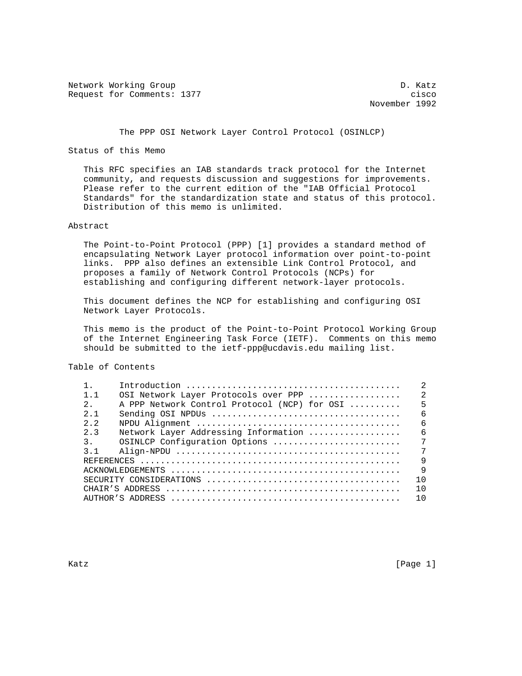Network Working Group Decree 2012 12:00 12:00 Network D. Katz Request for Comments: 1377 cisco

November 1992

# The PPP OSI Network Layer Control Protocol (OSINLCP)

Status of this Memo

 This RFC specifies an IAB standards track protocol for the Internet community, and requests discussion and suggestions for improvements. Please refer to the current edition of the "IAB Official Protocol Standards" for the standardization state and status of this protocol. Distribution of this memo is unlimited.

# Abstract

 The Point-to-Point Protocol (PPP) [1] provides a standard method of encapsulating Network Layer protocol information over point-to-point links. PPP also defines an extensible Link Control Protocol, and proposes a family of Network Control Protocols (NCPs) for establishing and configuring different network-layer protocols.

 This document defines the NCP for establishing and configuring OSI Network Layer Protocols.

 This memo is the product of the Point-to-Point Protocol Working Group of the Internet Engineering Task Force (IETF). Comments on this memo should be submitted to the ietf-ppp@ucdavis.edu mailing list.

Table of Contents

|                |                                              | $\mathfrak{D}$ |
|----------------|----------------------------------------------|----------------|
| $1 \quad 1$    | OSI Network Layer Protocols over PPP         | $\mathfrak{D}$ |
| $2^{\circ}$    | A PPP Network Control Protocol (NCP) for OSI | $\overline{5}$ |
| $2 \quad 1$    |                                              | 6              |
| $2^{2}$        |                                              | 6              |
| 2.3            | Network Layer Addressing Information         | 6              |
| 3 <sup>1</sup> | OSINLCP Configuration Options                | 7              |
| 3 1            |                                              | 7              |
|                |                                              | $\mathsf{Q}$   |
|                |                                              | $\mathsf{Q}$   |
|                |                                              | $1 \Omega$     |
|                |                                              | 1 N            |
|                |                                              | 10             |
|                |                                              |                |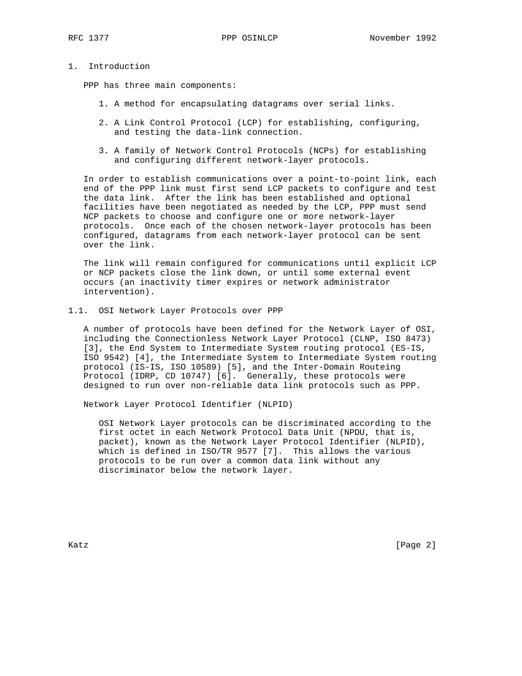# 1. Introduction

PPP has three main components:

- 1. A method for encapsulating datagrams over serial links.
- 2. A Link Control Protocol (LCP) for establishing, configuring, and testing the data-link connection.
- 3. A family of Network Control Protocols (NCPs) for establishing and configuring different network-layer protocols.

 In order to establish communications over a point-to-point link, each end of the PPP link must first send LCP packets to configure and test the data link. After the link has been established and optional facilities have been negotiated as needed by the LCP, PPP must send NCP packets to choose and configure one or more network-layer protocols. Once each of the chosen network-layer protocols has been configured, datagrams from each network-layer protocol can be sent over the link.

 The link will remain configured for communications until explicit LCP or NCP packets close the link down, or until some external event occurs (an inactivity timer expires or network administrator intervention).

1.1. OSI Network Layer Protocols over PPP

 A number of protocols have been defined for the Network Layer of OSI, including the Connectionless Network Layer Protocol (CLNP, ISO 8473) [3], the End System to Intermediate System routing protocol (ES-IS, ISO 9542) [4], the Intermediate System to Intermediate System routing protocol (IS-IS, ISO 10589) [5], and the Inter-Domain Routeing Protocol (IDRP, CD 10747) [6]. Generally, these protocols were designed to run over non-reliable data link protocols such as PPP.

Network Layer Protocol Identifier (NLPID)

 OSI Network Layer protocols can be discriminated according to the first octet in each Network Protocol Data Unit (NPDU, that is, packet), known as the Network Layer Protocol Identifier (NLPID), which is defined in ISO/TR 9577 [7]. This allows the various protocols to be run over a common data link without any discriminator below the network layer.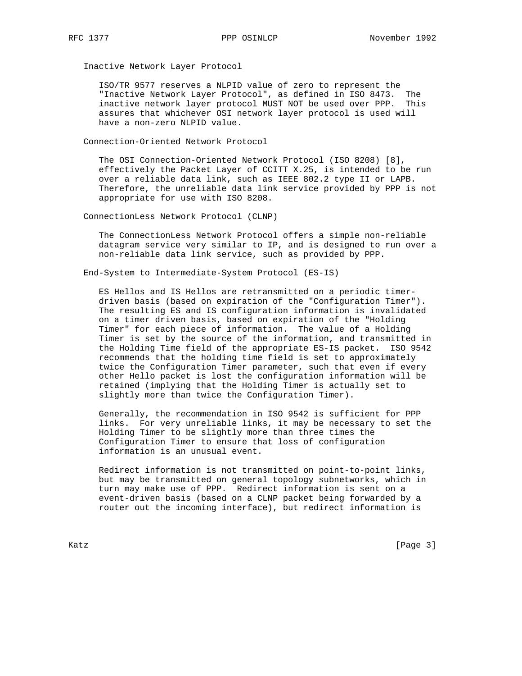Inactive Network Layer Protocol

 ISO/TR 9577 reserves a NLPID value of zero to represent the "Inactive Network Layer Protocol", as defined in ISO 8473. The inactive network layer protocol MUST NOT be used over PPP. This assures that whichever OSI network layer protocol is used will have a non-zero NLPID value.

Connection-Oriented Network Protocol

 The OSI Connection-Oriented Network Protocol (ISO 8208) [8], effectively the Packet Layer of CCITT X.25, is intended to be run over a reliable data link, such as IEEE 802.2 type II or LAPB. Therefore, the unreliable data link service provided by PPP is not appropriate for use with ISO 8208.

ConnectionLess Network Protocol (CLNP)

 The ConnectionLess Network Protocol offers a simple non-reliable datagram service very similar to IP, and is designed to run over a non-reliable data link service, such as provided by PPP.

End-System to Intermediate-System Protocol (ES-IS)

 ES Hellos and IS Hellos are retransmitted on a periodic timer driven basis (based on expiration of the "Configuration Timer"). The resulting ES and IS configuration information is invalidated on a timer driven basis, based on expiration of the "Holding Timer" for each piece of information. The value of a Holding Timer is set by the source of the information, and transmitted in the Holding Time field of the appropriate ES-IS packet. ISO 9542 recommends that the holding time field is set to approximately twice the Configuration Timer parameter, such that even if every other Hello packet is lost the configuration information will be retained (implying that the Holding Timer is actually set to slightly more than twice the Configuration Timer).

 Generally, the recommendation in ISO 9542 is sufficient for PPP links. For very unreliable links, it may be necessary to set the Holding Timer to be slightly more than three times the Configuration Timer to ensure that loss of configuration information is an unusual event.

 Redirect information is not transmitted on point-to-point links, but may be transmitted on general topology subnetworks, which in turn may make use of PPP. Redirect information is sent on a event-driven basis (based on a CLNP packet being forwarded by a router out the incoming interface), but redirect information is

Katz [Page 3]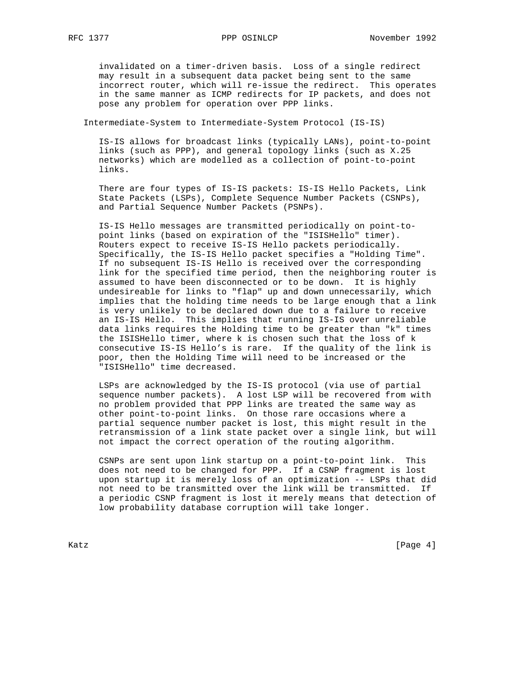invalidated on a timer-driven basis. Loss of a single redirect may result in a subsequent data packet being sent to the same incorrect router, which will re-issue the redirect. This operates in the same manner as ICMP redirects for IP packets, and does not pose any problem for operation over PPP links.

Intermediate-System to Intermediate-System Protocol (IS-IS)

 IS-IS allows for broadcast links (typically LANs), point-to-point links (such as PPP), and general topology links (such as X.25 networks) which are modelled as a collection of point-to-point links.

 There are four types of IS-IS packets: IS-IS Hello Packets, Link State Packets (LSPs), Complete Sequence Number Packets (CSNPs), and Partial Sequence Number Packets (PSNPs).

 IS-IS Hello messages are transmitted periodically on point-to point links (based on expiration of the "ISISHello" timer). Routers expect to receive IS-IS Hello packets periodically. Specifically, the IS-IS Hello packet specifies a "Holding Time". If no subsequent IS-IS Hello is received over the corresponding link for the specified time period, then the neighboring router is assumed to have been disconnected or to be down. It is highly undesireable for links to "flap" up and down unnecessarily, which implies that the holding time needs to be large enough that a link is very unlikely to be declared down due to a failure to receive an IS-IS Hello. This implies that running IS-IS over unreliable data links requires the Holding time to be greater than "k" times the ISISHello timer, where k is chosen such that the loss of k consecutive IS-IS Hello's is rare. If the quality of the link is poor, then the Holding Time will need to be increased or the "ISISHello" time decreased.

 LSPs are acknowledged by the IS-IS protocol (via use of partial sequence number packets). A lost LSP will be recovered from with no problem provided that PPP links are treated the same way as other point-to-point links. On those rare occasions where a partial sequence number packet is lost, this might result in the retransmission of a link state packet over a single link, but will not impact the correct operation of the routing algorithm.

 CSNPs are sent upon link startup on a point-to-point link. This does not need to be changed for PPP. If a CSNP fragment is lost upon startup it is merely loss of an optimization -- LSPs that did not need to be transmitted over the link will be transmitted. If a periodic CSNP fragment is lost it merely means that detection of low probability database corruption will take longer.

Katz [Page 4]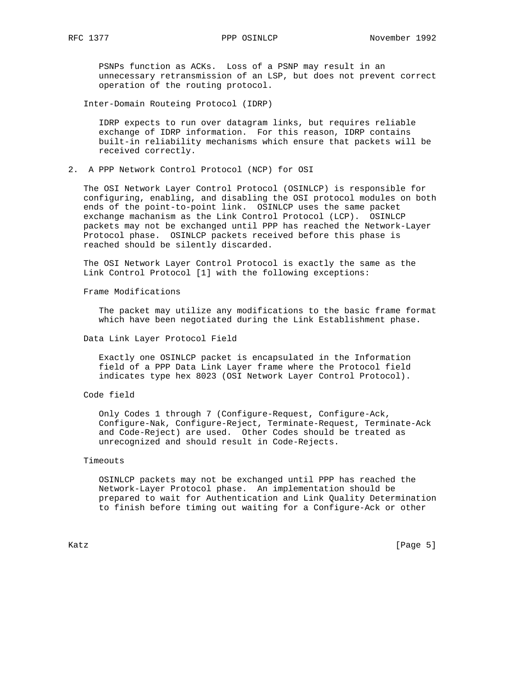PSNPs function as ACKs. Loss of a PSNP may result in an unnecessary retransmission of an LSP, but does not prevent correct operation of the routing protocol.

Inter-Domain Routeing Protocol (IDRP)

 IDRP expects to run over datagram links, but requires reliable exchange of IDRP information. For this reason, IDRP contains built-in reliability mechanisms which ensure that packets will be received correctly.

2. A PPP Network Control Protocol (NCP) for OSI

 The OSI Network Layer Control Protocol (OSINLCP) is responsible for configuring, enabling, and disabling the OSI protocol modules on both ends of the point-to-point link. OSINLCP uses the same packet exchange machanism as the Link Control Protocol (LCP). OSINLCP packets may not be exchanged until PPP has reached the Network-Layer Protocol phase. OSINLCP packets received before this phase is reached should be silently discarded.

 The OSI Network Layer Control Protocol is exactly the same as the Link Control Protocol [1] with the following exceptions:

Frame Modifications

 The packet may utilize any modifications to the basic frame format which have been negotiated during the Link Establishment phase.

Data Link Layer Protocol Field

 Exactly one OSINLCP packet is encapsulated in the Information field of a PPP Data Link Layer frame where the Protocol field indicates type hex 8023 (OSI Network Layer Control Protocol).

Code field

 Only Codes 1 through 7 (Configure-Request, Configure-Ack, Configure-Nak, Configure-Reject, Terminate-Request, Terminate-Ack and Code-Reject) are used. Other Codes should be treated as unrecognized and should result in Code-Rejects.

## Timeouts

 OSINLCP packets may not be exchanged until PPP has reached the Network-Layer Protocol phase. An implementation should be prepared to wait for Authentication and Link Quality Determination to finish before timing out waiting for a Configure-Ack or other

Katz [Page 5]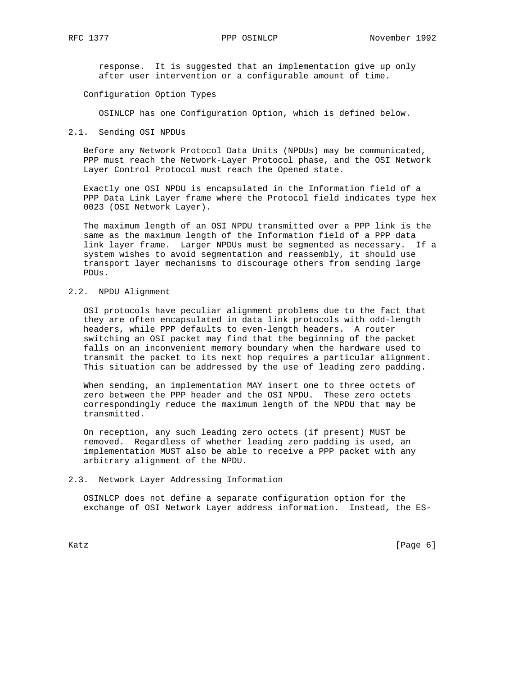response. It is suggested that an implementation give up only after user intervention or a configurable amount of time.

Configuration Option Types

OSINLCP has one Configuration Option, which is defined below.

# 2.1. Sending OSI NPDUs

 Before any Network Protocol Data Units (NPDUs) may be communicated, PPP must reach the Network-Layer Protocol phase, and the OSI Network Layer Control Protocol must reach the Opened state.

 Exactly one OSI NPDU is encapsulated in the Information field of a PPP Data Link Layer frame where the Protocol field indicates type hex 0023 (OSI Network Layer).

 The maximum length of an OSI NPDU transmitted over a PPP link is the same as the maximum length of the Information field of a PPP data link layer frame. Larger NPDUs must be segmented as necessary. If a system wishes to avoid segmentation and reassembly, it should use transport layer mechanisms to discourage others from sending large PDUs.

# 2.2. NPDU Alignment

 OSI protocols have peculiar alignment problems due to the fact that they are often encapsulated in data link protocols with odd-length headers, while PPP defaults to even-length headers. A router switching an OSI packet may find that the beginning of the packet falls on an inconvenient memory boundary when the hardware used to transmit the packet to its next hop requires a particular alignment. This situation can be addressed by the use of leading zero padding.

 When sending, an implementation MAY insert one to three octets of zero between the PPP header and the OSI NPDU. These zero octets correspondingly reduce the maximum length of the NPDU that may be transmitted.

 On reception, any such leading zero octets (if present) MUST be removed. Regardless of whether leading zero padding is used, an implementation MUST also be able to receive a PPP packet with any arbitrary alignment of the NPDU.

### 2.3. Network Layer Addressing Information

 OSINLCP does not define a separate configuration option for the exchange of OSI Network Layer address information. Instead, the ES-

Katz **Example 19** (Page 6)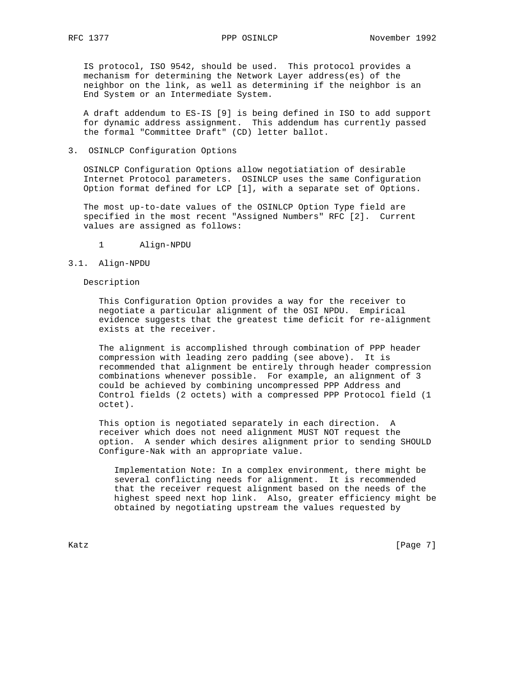IS protocol, ISO 9542, should be used. This protocol provides a mechanism for determining the Network Layer address(es) of the neighbor on the link, as well as determining if the neighbor is an End System or an Intermediate System.

 A draft addendum to ES-IS [9] is being defined in ISO to add support for dynamic address assignment. This addendum has currently passed the formal "Committee Draft" (CD) letter ballot.

# 3. OSINLCP Configuration Options

 OSINLCP Configuration Options allow negotiatiation of desirable Internet Protocol parameters. OSINLCP uses the same Configuration Option format defined for LCP [1], with a separate set of Options.

 The most up-to-date values of the OSINLCP Option Type field are specified in the most recent "Assigned Numbers" RFC [2]. Current values are assigned as follows:

1 Align-NPDU

## 3.1. Align-NPDU

# Description

 This Configuration Option provides a way for the receiver to negotiate a particular alignment of the OSI NPDU. Empirical evidence suggests that the greatest time deficit for re-alignment exists at the receiver.

 The alignment is accomplished through combination of PPP header compression with leading zero padding (see above). It is recommended that alignment be entirely through header compression combinations whenever possible. For example, an alignment of 3 could be achieved by combining uncompressed PPP Address and Control fields (2 octets) with a compressed PPP Protocol field (1 octet).

 This option is negotiated separately in each direction. A receiver which does not need alignment MUST NOT request the option. A sender which desires alignment prior to sending SHOULD Configure-Nak with an appropriate value.

 Implementation Note: In a complex environment, there might be several conflicting needs for alignment. It is recommended that the receiver request alignment based on the needs of the highest speed next hop link. Also, greater efficiency might be obtained by negotiating upstream the values requested by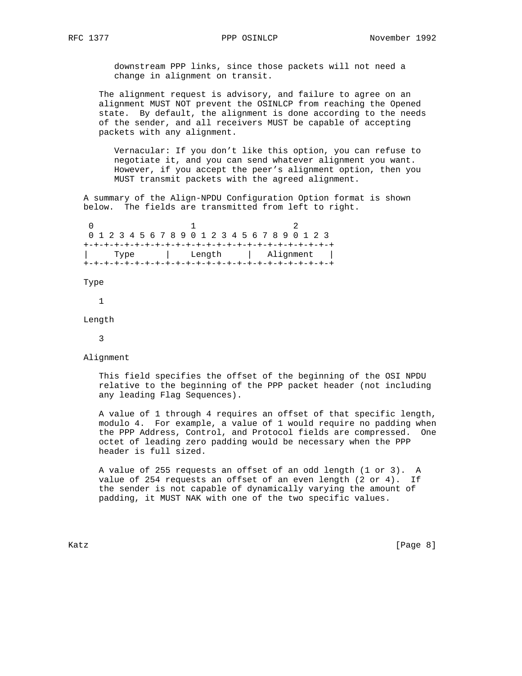downstream PPP links, since those packets will not need a change in alignment on transit.

 The alignment request is advisory, and failure to agree on an alignment MUST NOT prevent the OSINLCP from reaching the Opened state. By default, the alignment is done according to the needs of the sender, and all receivers MUST be capable of accepting packets with any alignment.

 Vernacular: If you don't like this option, you can refuse to negotiate it, and you can send whatever alignment you want. However, if you accept the peer's alignment option, then you MUST transmit packets with the agreed alignment.

 A summary of the Align-NPDU Configuration Option format is shown below. The fields are transmitted from left to right.

 $0$  and  $1$  and  $2$  0 1 2 3 4 5 6 7 8 9 0 1 2 3 4 5 6 7 8 9 0 1 2 3 +-+-+-+-+-+-+-+-+-+-+-+-+-+-+-+-+-+-+-+-+-+-+-+-+ | Type | Length | Alignment | +-+-+-+-+-+-+-+-+-+-+-+-+-+-+-+-+-+-+-+-+-+-+-+-+

Type

1

Length

3

Alignment

 This field specifies the offset of the beginning of the OSI NPDU relative to the beginning of the PPP packet header (not including any leading Flag Sequences).

 A value of 1 through 4 requires an offset of that specific length, modulo 4. For example, a value of 1 would require no padding when the PPP Address, Control, and Protocol fields are compressed. One octet of leading zero padding would be necessary when the PPP header is full sized.

 A value of 255 requests an offset of an odd length (1 or 3). A value of 254 requests an offset of an even length (2 or 4). If the sender is not capable of dynamically varying the amount of padding, it MUST NAK with one of the two specific values.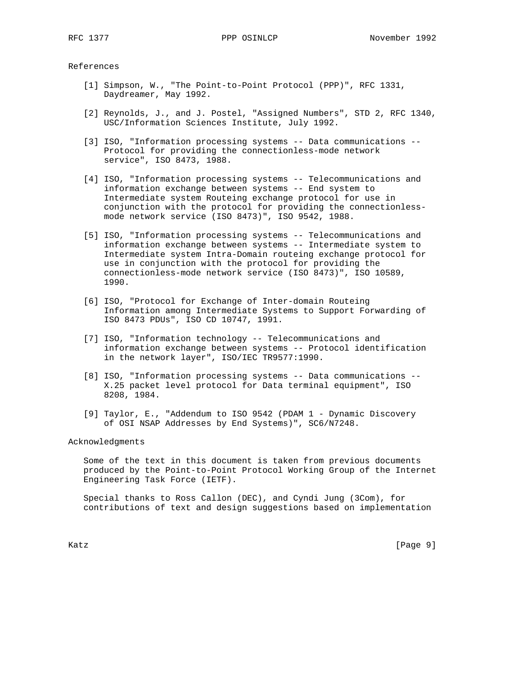References

- [1] Simpson, W., "The Point-to-Point Protocol (PPP)", RFC 1331, Daydreamer, May 1992.
- [2] Reynolds, J., and J. Postel, "Assigned Numbers", STD 2, RFC 1340, USC/Information Sciences Institute, July 1992.
- [3] ISO, "Information processing systems -- Data communications -- Protocol for providing the connectionless-mode network service", ISO 8473, 1988.
- [4] ISO, "Information processing systems -- Telecommunications and information exchange between systems -- End system to Intermediate system Routeing exchange protocol for use in conjunction with the protocol for providing the connectionless mode network service (ISO 8473)", ISO 9542, 1988.
- [5] ISO, "Information processing systems -- Telecommunications and information exchange between systems -- Intermediate system to Intermediate system Intra-Domain routeing exchange protocol for use in conjunction with the protocol for providing the connectionless-mode network service (ISO 8473)", ISO 10589, 1990.
- [6] ISO, "Protocol for Exchange of Inter-domain Routeing Information among Intermediate Systems to Support Forwarding of ISO 8473 PDUs", ISO CD 10747, 1991.
- [7] ISO, "Information technology -- Telecommunications and information exchange between systems -- Protocol identification in the network layer", ISO/IEC TR9577:1990.
- [8] ISO, "Information processing systems -- Data communications -- X.25 packet level protocol for Data terminal equipment", ISO 8208, 1984.
- [9] Taylor, E., "Addendum to ISO 9542 (PDAM 1 Dynamic Discovery of OSI NSAP Addresses by End Systems)", SC6/N7248.

Acknowledgments

 Some of the text in this document is taken from previous documents produced by the Point-to-Point Protocol Working Group of the Internet Engineering Task Force (IETF).

 Special thanks to Ross Callon (DEC), and Cyndi Jung (3Com), for contributions of text and design suggestions based on implementation

Katz [Page 9]